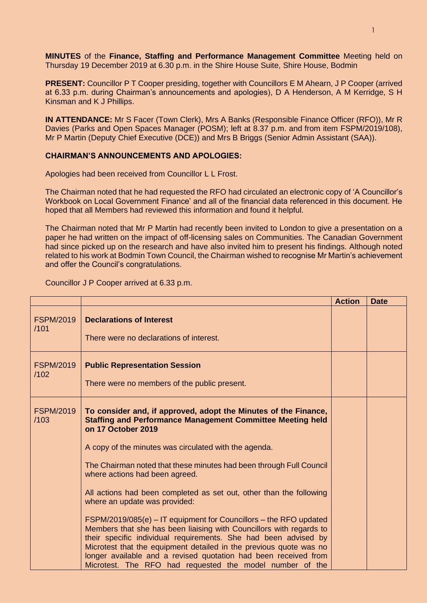**MINUTES** of the **Finance, Staffing and Performance Management Committee** Meeting held on Thursday 19 December 2019 at 6.30 p.m. in the Shire House Suite, Shire House, Bodmin

**PRESENT:** Councillor P T Cooper presiding, together with Councillors E M Ahearn, J P Cooper (arrived at 6.33 p.m. during Chairman's announcements and apologies), D A Henderson, A M Kerridge, S H Kinsman and K J Phillips.

**IN ATTENDANCE:** Mr S Facer (Town Clerk), Mrs A Banks (Responsible Finance Officer (RFO)), Mr R Davies (Parks and Open Spaces Manager (POSM); left at 8.37 p.m. and from item FSPM/2019/108), Mr P Martin (Deputy Chief Executive (DCE)) and Mrs B Briggs (Senior Admin Assistant (SAA)).

## **CHAIRMAN'S ANNOUNCEMENTS AND APOLOGIES:**

Apologies had been received from Councillor L L Frost.

The Chairman noted that he had requested the RFO had circulated an electronic copy of 'A Councillor's Workbook on Local Government Finance' and all of the financial data referenced in this document. He hoped that all Members had reviewed this information and found it helpful.

The Chairman noted that Mr P Martin had recently been invited to London to give a presentation on a paper he had written on the impact of off-licensing sales on Communities. The Canadian Government had since picked up on the research and have also invited him to present his findings. Although noted related to his work at Bodmin Town Council, the Chairman wished to recognise Mr Martin's achievement and offer the Council's congratulations.

Councillor J P Cooper arrived at 6.33 p.m.

|                          |                                                                                                                                                                                                                                                                                                                                                                                                                                                                                                                                                                                                                                                                                                                                                                                                | <b>Action</b> | <b>Date</b> |
|--------------------------|------------------------------------------------------------------------------------------------------------------------------------------------------------------------------------------------------------------------------------------------------------------------------------------------------------------------------------------------------------------------------------------------------------------------------------------------------------------------------------------------------------------------------------------------------------------------------------------------------------------------------------------------------------------------------------------------------------------------------------------------------------------------------------------------|---------------|-------------|
| <b>FSPM/2019</b><br>/101 | <b>Declarations of Interest</b><br>There were no declarations of interest.                                                                                                                                                                                                                                                                                                                                                                                                                                                                                                                                                                                                                                                                                                                     |               |             |
| <b>FSPM/2019</b><br>/102 | <b>Public Representation Session</b><br>There were no members of the public present.                                                                                                                                                                                                                                                                                                                                                                                                                                                                                                                                                                                                                                                                                                           |               |             |
| <b>FSPM/2019</b><br>/103 | To consider and, if approved, adopt the Minutes of the Finance,<br><b>Staffing and Performance Management Committee Meeting held</b><br>on 17 October 2019<br>A copy of the minutes was circulated with the agenda.<br>The Chairman noted that these minutes had been through Full Council<br>where actions had been agreed.<br>All actions had been completed as set out, other than the following<br>where an update was provided:<br>$FSPM/2019/085(e) - IT$ equipment for Councillors - the RFO updated<br>Members that she has been liaising with Councillors with regards to<br>their specific individual requirements. She had been advised by<br>Microtest that the equipment detailed in the previous quote was no<br>longer available and a revised quotation had been received from |               |             |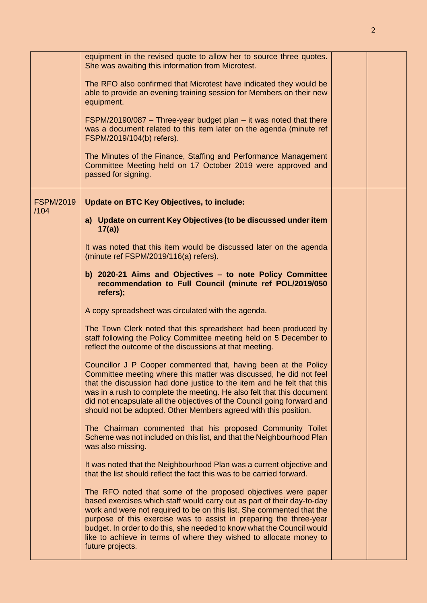|                          | equipment in the revised quote to allow her to source three quotes.<br>She was awaiting this information from Microtest.<br>The RFO also confirmed that Microtest have indicated they would be<br>able to provide an evening training session for Members on their new<br>equipment.<br>$FSPM/20190/087$ - Three-year budget plan - it was noted that there<br>was a document related to this item later on the agenda (minute ref<br>FSPM/2019/104(b) refers).<br>The Minutes of the Finance, Staffing and Performance Management<br>Committee Meeting held on 17 October 2019 were approved and<br>passed for signing.                                                                                                                                                                                                                                                                                                                                                                                                                                                                                                                                                                                                                                                                                                                                                                                                                                                                                                                                                                                                                                                                                                                                                                                                                                        |  |
|--------------------------|-----------------------------------------------------------------------------------------------------------------------------------------------------------------------------------------------------------------------------------------------------------------------------------------------------------------------------------------------------------------------------------------------------------------------------------------------------------------------------------------------------------------------------------------------------------------------------------------------------------------------------------------------------------------------------------------------------------------------------------------------------------------------------------------------------------------------------------------------------------------------------------------------------------------------------------------------------------------------------------------------------------------------------------------------------------------------------------------------------------------------------------------------------------------------------------------------------------------------------------------------------------------------------------------------------------------------------------------------------------------------------------------------------------------------------------------------------------------------------------------------------------------------------------------------------------------------------------------------------------------------------------------------------------------------------------------------------------------------------------------------------------------------------------------------------------------------------------------------------------------|--|
| <b>FSPM/2019</b><br>/104 | <b>Update on BTC Key Objectives, to include:</b><br>a) Update on current Key Objectives (to be discussed under item<br>17(a)<br>It was noted that this item would be discussed later on the agenda<br>(minute ref FSPM/2019/116(a) refers).<br>b) 2020-21 Aims and Objectives - to note Policy Committee<br>recommendation to Full Council (minute ref POL/2019/050<br>refers);<br>A copy spreadsheet was circulated with the agenda.<br>The Town Clerk noted that this spreadsheet had been produced by<br>staff following the Policy Committee meeting held on 5 December to<br>reflect the outcome of the discussions at that meeting.<br>Councillor J P Cooper commented that, having been at the Policy<br>Committee meeting where this matter was discussed, he did not feel<br>that the discussion had done justice to the item and he felt that this<br>was in a rush to complete the meeting. He also felt that this document<br>did not encapsulate all the objectives of the Council going forward and<br>should not be adopted. Other Members agreed with this position.<br>The Chairman commented that his proposed Community Toilet<br>Scheme was not included on this list, and that the Neighbourhood Plan<br>was also missing.<br>It was noted that the Neighbourhood Plan was a current objective and<br>that the list should reflect the fact this was to be carried forward.<br>The RFO noted that some of the proposed objectives were paper<br>based exercises which staff would carry out as part of their day-to-day<br>work and were not required to be on this list. She commented that the<br>purpose of this exercise was to assist in preparing the three-year<br>budget. In order to do this, she needed to know what the Council would<br>like to achieve in terms of where they wished to allocate money to<br>future projects. |  |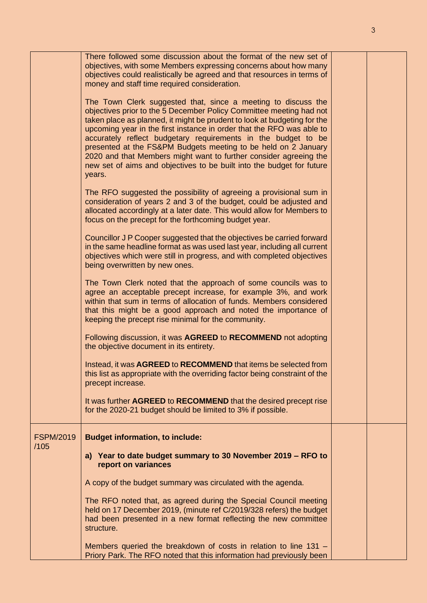|                          | There followed some discussion about the format of the new set of<br>objectives, with some Members expressing concerns about how many<br>objectives could realistically be agreed and that resources in terms of<br>money and staff time required consideration.                                                                                                                                                                                                                                                                                                                     |  |
|--------------------------|--------------------------------------------------------------------------------------------------------------------------------------------------------------------------------------------------------------------------------------------------------------------------------------------------------------------------------------------------------------------------------------------------------------------------------------------------------------------------------------------------------------------------------------------------------------------------------------|--|
|                          | The Town Clerk suggested that, since a meeting to discuss the<br>objectives prior to the 5 December Policy Committee meeting had not<br>taken place as planned, it might be prudent to look at budgeting for the<br>upcoming year in the first instance in order that the RFO was able to<br>accurately reflect budgetary requirements in the budget to be<br>presented at the FS&PM Budgets meeting to be held on 2 January<br>2020 and that Members might want to further consider agreeing the<br>new set of aims and objectives to be built into the budget for future<br>years. |  |
|                          | The RFO suggested the possibility of agreeing a provisional sum in<br>consideration of years 2 and 3 of the budget, could be adjusted and<br>allocated accordingly at a later date. This would allow for Members to<br>focus on the precept for the forthcoming budget year.                                                                                                                                                                                                                                                                                                         |  |
|                          | Councillor J P Cooper suggested that the objectives be carried forward<br>in the same headline format as was used last year, including all current<br>objectives which were still in progress, and with completed objectives<br>being overwritten by new ones.                                                                                                                                                                                                                                                                                                                       |  |
|                          | The Town Clerk noted that the approach of some councils was to<br>agree an acceptable precept increase, for example 3%, and work<br>within that sum in terms of allocation of funds. Members considered<br>that this might be a good approach and noted the importance of<br>keeping the precept rise minimal for the community.                                                                                                                                                                                                                                                     |  |
|                          | Following discussion, it was AGREED to RECOMMEND not adopting<br>the objective document in its entirety.                                                                                                                                                                                                                                                                                                                                                                                                                                                                             |  |
|                          | Instead, it was AGREED to RECOMMEND that items be selected from<br>this list as appropriate with the overriding factor being constraint of the<br>precept increase.                                                                                                                                                                                                                                                                                                                                                                                                                  |  |
|                          | It was further AGREED to RECOMMEND that the desired precept rise<br>for the 2020-21 budget should be limited to 3% if possible.                                                                                                                                                                                                                                                                                                                                                                                                                                                      |  |
| <b>FSPM/2019</b><br>/105 | <b>Budget information, to include:</b>                                                                                                                                                                                                                                                                                                                                                                                                                                                                                                                                               |  |
|                          | a) Year to date budget summary to 30 November 2019 - RFO to<br>report on variances                                                                                                                                                                                                                                                                                                                                                                                                                                                                                                   |  |
|                          | A copy of the budget summary was circulated with the agenda.                                                                                                                                                                                                                                                                                                                                                                                                                                                                                                                         |  |
|                          | The RFO noted that, as agreed during the Special Council meeting<br>held on 17 December 2019, (minute ref C/2019/328 refers) the budget<br>had been presented in a new format reflecting the new committee<br>structure.                                                                                                                                                                                                                                                                                                                                                             |  |
|                          | Members queried the breakdown of costs in relation to line 131 -<br>Priory Park. The RFO noted that this information had previously been                                                                                                                                                                                                                                                                                                                                                                                                                                             |  |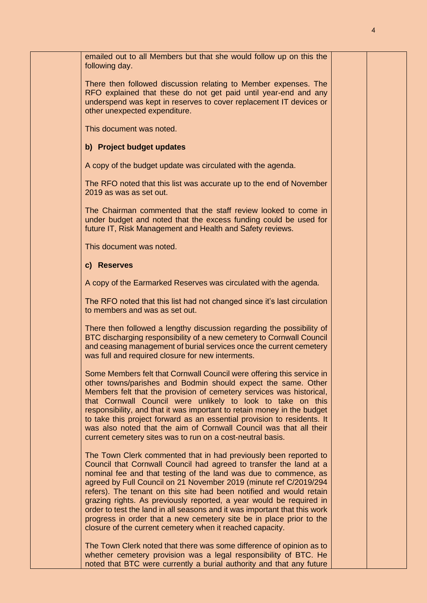| emailed out to all Members but that she would follow up on this the<br>following day.                                                                                                                                                                                                                                                                                                                                                                                                                                                                                                                                                          |  |
|------------------------------------------------------------------------------------------------------------------------------------------------------------------------------------------------------------------------------------------------------------------------------------------------------------------------------------------------------------------------------------------------------------------------------------------------------------------------------------------------------------------------------------------------------------------------------------------------------------------------------------------------|--|
| There then followed discussion relating to Member expenses. The<br>RFO explained that these do not get paid until year-end and any<br>underspend was kept in reserves to cover replacement IT devices or<br>other unexpected expenditure.                                                                                                                                                                                                                                                                                                                                                                                                      |  |
| This document was noted.                                                                                                                                                                                                                                                                                                                                                                                                                                                                                                                                                                                                                       |  |
| b) Project budget updates                                                                                                                                                                                                                                                                                                                                                                                                                                                                                                                                                                                                                      |  |
| A copy of the budget update was circulated with the agenda.                                                                                                                                                                                                                                                                                                                                                                                                                                                                                                                                                                                    |  |
| The RFO noted that this list was accurate up to the end of November<br>2019 as was as set out.                                                                                                                                                                                                                                                                                                                                                                                                                                                                                                                                                 |  |
| The Chairman commented that the staff review looked to come in<br>under budget and noted that the excess funding could be used for<br>future IT, Risk Management and Health and Safety reviews.                                                                                                                                                                                                                                                                                                                                                                                                                                                |  |
| This document was noted.                                                                                                                                                                                                                                                                                                                                                                                                                                                                                                                                                                                                                       |  |
| c) Reserves                                                                                                                                                                                                                                                                                                                                                                                                                                                                                                                                                                                                                                    |  |
| A copy of the Earmarked Reserves was circulated with the agenda.                                                                                                                                                                                                                                                                                                                                                                                                                                                                                                                                                                               |  |
| The RFO noted that this list had not changed since it's last circulation<br>to members and was as set out.                                                                                                                                                                                                                                                                                                                                                                                                                                                                                                                                     |  |
| There then followed a lengthy discussion regarding the possibility of<br>BTC discharging responsibility of a new cemetery to Cornwall Council<br>and ceasing management of burial services once the current cemetery<br>was full and required closure for new interments.                                                                                                                                                                                                                                                                                                                                                                      |  |
| Some Members felt that Cornwall Council were offering this service in<br>other towns/parishes and Bodmin should expect the same. Other<br>Members felt that the provision of cemetery services was historical,<br>that Cornwall Council were unlikely to look to take on this<br>responsibility, and that it was important to retain money in the budget<br>to take this project forward as an essential provision to residents. It<br>was also noted that the aim of Cornwall Council was that all their<br>current cemetery sites was to run on a cost-neutral basis.                                                                        |  |
| The Town Clerk commented that in had previously been reported to<br>Council that Cornwall Council had agreed to transfer the land at a<br>nominal fee and that testing of the land was due to commence, as<br>agreed by Full Council on 21 November 2019 (minute ref C/2019/294<br>refers). The tenant on this site had been notified and would retain<br>grazing rights. As previously reported, a year would be required in<br>order to test the land in all seasons and it was important that this work<br>progress in order that a new cemetery site be in place prior to the<br>closure of the current cemetery when it reached capacity. |  |
| The Town Clerk noted that there was some difference of opinion as to<br>whether cemetery provision was a legal responsibility of BTC. He<br>noted that BTC were currently a burial authority and that any future                                                                                                                                                                                                                                                                                                                                                                                                                               |  |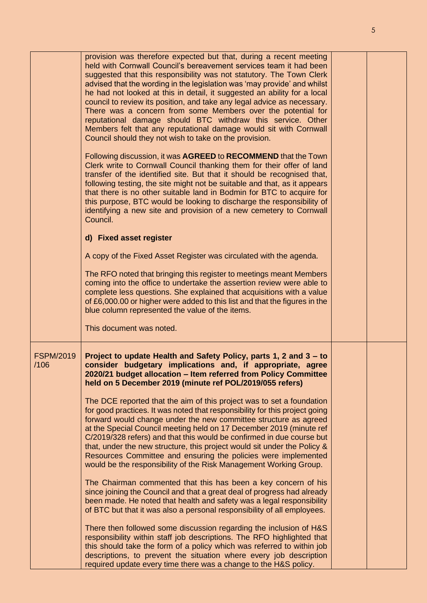|                          | provision was therefore expected but that, during a recent meeting<br>held with Cornwall Council's bereavement services team it had been<br>suggested that this responsibility was not statutory. The Town Clerk<br>advised that the wording in the legislation was 'may provide' and whilst<br>he had not looked at this in detail, it suggested an ability for a local<br>council to review its position, and take any legal advice as necessary.<br>There was a concern from some Members over the potential for<br>reputational damage should BTC withdraw this service. Other<br>Members felt that any reputational damage would sit with Cornwall<br>Council should they not wish to take on the provision. |  |
|--------------------------|-------------------------------------------------------------------------------------------------------------------------------------------------------------------------------------------------------------------------------------------------------------------------------------------------------------------------------------------------------------------------------------------------------------------------------------------------------------------------------------------------------------------------------------------------------------------------------------------------------------------------------------------------------------------------------------------------------------------|--|
|                          | Following discussion, it was AGREED to RECOMMEND that the Town<br>Clerk write to Cornwall Council thanking them for their offer of land<br>transfer of the identified site. But that it should be recognised that,<br>following testing, the site might not be suitable and that, as it appears<br>that there is no other suitable land in Bodmin for BTC to acquire for<br>this purpose, BTC would be looking to discharge the responsibility of<br>identifying a new site and provision of a new cemetery to Cornwall<br>Council.                                                                                                                                                                               |  |
|                          | d) Fixed asset register                                                                                                                                                                                                                                                                                                                                                                                                                                                                                                                                                                                                                                                                                           |  |
|                          | A copy of the Fixed Asset Register was circulated with the agenda.                                                                                                                                                                                                                                                                                                                                                                                                                                                                                                                                                                                                                                                |  |
|                          | The RFO noted that bringing this register to meetings meant Members<br>coming into the office to undertake the assertion review were able to<br>complete less questions. She explained that acquisitions with a value<br>of £6,000.00 or higher were added to this list and that the figures in the<br>blue column represented the value of the items.                                                                                                                                                                                                                                                                                                                                                            |  |
|                          | This document was noted.                                                                                                                                                                                                                                                                                                                                                                                                                                                                                                                                                                                                                                                                                          |  |
| <b>FSPM/2019</b><br>/106 | Project to update Health and Safety Policy, parts 1, 2 and 3 - to<br>consider budgetary implications and, if appropriate, agree<br>2020/21 budget allocation - Item referred from Policy Committee<br>held on 5 December 2019 (minute ref POL/2019/055 refers)                                                                                                                                                                                                                                                                                                                                                                                                                                                    |  |
|                          | The DCE reported that the aim of this project was to set a foundation<br>for good practices. It was noted that responsibility for this project going<br>forward would change under the new committee structure as agreed<br>at the Special Council meeting held on 17 December 2019 (minute ref<br>C/2019/328 refers) and that this would be confirmed in due course but<br>that, under the new structure, this project would sit under the Policy &<br>Resources Committee and ensuring the policies were implemented<br>would be the responsibility of the Risk Management Working Group.                                                                                                                       |  |
|                          | The Chairman commented that this has been a key concern of his<br>since joining the Council and that a great deal of progress had already<br>been made. He noted that health and safety was a legal responsibility<br>of BTC but that it was also a personal responsibility of all employees.                                                                                                                                                                                                                                                                                                                                                                                                                     |  |
|                          | There then followed some discussion regarding the inclusion of H&S<br>responsibility within staff job descriptions. The RFO highlighted that<br>this should take the form of a policy which was referred to within job<br>descriptions, to prevent the situation where every job description<br>required update every time there was a change to the H&S policy.                                                                                                                                                                                                                                                                                                                                                  |  |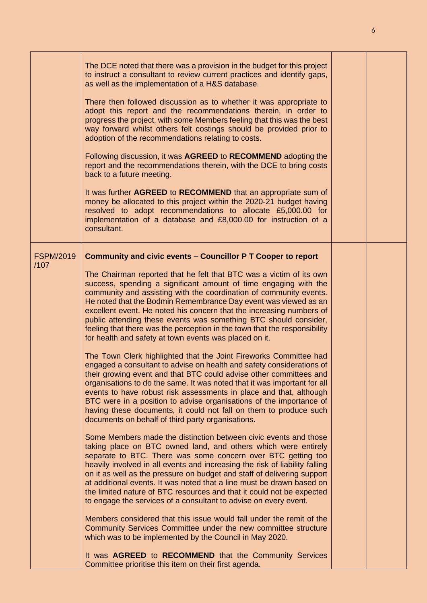|                          | The DCE noted that there was a provision in the budget for this project<br>to instruct a consultant to review current practices and identify gaps,<br>as well as the implementation of a H&S database.<br>There then followed discussion as to whether it was appropriate to<br>adopt this report and the recommendations therein, in order to<br>progress the project, with some Members feeling that this was the best<br>way forward whilst others felt costings should be provided prior to<br>adoption of the recommendations relating to costs.<br>Following discussion, it was AGREED to RECOMMEND adopting the<br>report and the recommendations therein, with the DCE to bring costs<br>back to a future meeting.<br>It was further AGREED to RECOMMEND that an appropriate sum of<br>money be allocated to this project within the 2020-21 budget having<br>resolved to adopt recommendations to allocate £5,000.00 for<br>implementation of a database and £8,000.00 for instruction of a<br>consultant.                                                                                                                                                                                                                                                                                                                                                                                                                                                                                                                                                                                                                                                                                                                                                                                                                                                                                                                                                                                           |  |
|--------------------------|---------------------------------------------------------------------------------------------------------------------------------------------------------------------------------------------------------------------------------------------------------------------------------------------------------------------------------------------------------------------------------------------------------------------------------------------------------------------------------------------------------------------------------------------------------------------------------------------------------------------------------------------------------------------------------------------------------------------------------------------------------------------------------------------------------------------------------------------------------------------------------------------------------------------------------------------------------------------------------------------------------------------------------------------------------------------------------------------------------------------------------------------------------------------------------------------------------------------------------------------------------------------------------------------------------------------------------------------------------------------------------------------------------------------------------------------------------------------------------------------------------------------------------------------------------------------------------------------------------------------------------------------------------------------------------------------------------------------------------------------------------------------------------------------------------------------------------------------------------------------------------------------------------------------------------------------------------------------------------------------------------------|--|
| <b>FSPM/2019</b><br>/107 | Community and civic events - Councillor P T Cooper to report                                                                                                                                                                                                                                                                                                                                                                                                                                                                                                                                                                                                                                                                                                                                                                                                                                                                                                                                                                                                                                                                                                                                                                                                                                                                                                                                                                                                                                                                                                                                                                                                                                                                                                                                                                                                                                                                                                                                                  |  |
|                          | The Chairman reported that he felt that BTC was a victim of its own<br>success, spending a significant amount of time engaging with the<br>community and assisting with the coordination of community events.<br>He noted that the Bodmin Remembrance Day event was viewed as an<br>excellent event. He noted his concern that the increasing numbers of<br>public attending these events was something BTC should consider,<br>feeling that there was the perception in the town that the responsibility<br>for health and safety at town events was placed on it.<br>The Town Clerk highlighted that the Joint Fireworks Committee had<br>engaged a consultant to advise on health and safety considerations of<br>their growing event and that BTC could advise other committees and<br>organisations to do the same. It was noted that it was important for all<br>events to have robust risk assessments in place and that, although<br>BTC were in a position to advise organisations of the importance of<br>having these documents, it could not fall on them to produce such<br>documents on behalf of third party organisations.<br>Some Members made the distinction between civic events and those<br>taking place on BTC owned land, and others which were entirely<br>separate to BTC. There was some concern over BTC getting too<br>heavily involved in all events and increasing the risk of liability falling<br>on it as well as the pressure on budget and staff of delivering support<br>at additional events. It was noted that a line must be drawn based on<br>the limited nature of BTC resources and that it could not be expected<br>to engage the services of a consultant to advise on every event.<br>Members considered that this issue would fall under the remit of the<br>Community Services Committee under the new committee structure<br>which was to be implemented by the Council in May 2020.<br>It was <b>AGREED</b> to <b>RECOMMEND</b> that the Community Services |  |
|                          | Committee prioritise this item on their first agenda.                                                                                                                                                                                                                                                                                                                                                                                                                                                                                                                                                                                                                                                                                                                                                                                                                                                                                                                                                                                                                                                                                                                                                                                                                                                                                                                                                                                                                                                                                                                                                                                                                                                                                                                                                                                                                                                                                                                                                         |  |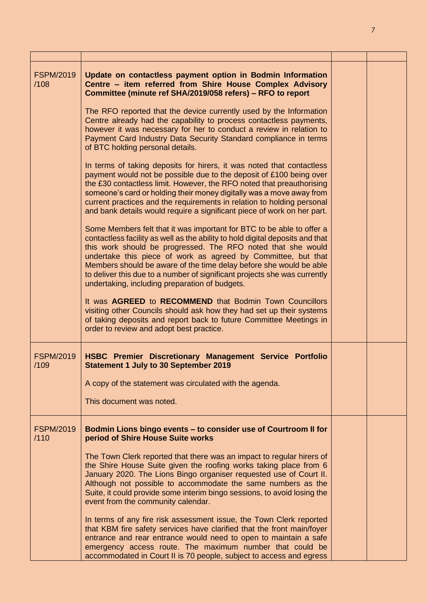| <b>FSPM/2019</b><br>/108 | Update on contactless payment option in Bodmin Information<br>Centre - item referred from Shire House Complex Advisory<br>Committee (minute ref SHA/2019/058 refers) - RFO to report                                                                                                                                                                                                                                                                                                         |  |
|--------------------------|----------------------------------------------------------------------------------------------------------------------------------------------------------------------------------------------------------------------------------------------------------------------------------------------------------------------------------------------------------------------------------------------------------------------------------------------------------------------------------------------|--|
|                          | The RFO reported that the device currently used by the Information<br>Centre already had the capability to process contactless payments,<br>however it was necessary for her to conduct a review in relation to<br>Payment Card Industry Data Security Standard compliance in terms<br>of BTC holding personal details.                                                                                                                                                                      |  |
|                          | In terms of taking deposits for hirers, it was noted that contactless<br>payment would not be possible due to the deposit of £100 being over<br>the £30 contactless limit. However, the RFO noted that preauthorising<br>someone's card or holding their money digitally was a move away from<br>current practices and the requirements in relation to holding personal<br>and bank details would require a significant piece of work on her part.                                           |  |
|                          | Some Members felt that it was important for BTC to be able to offer a<br>contactless facility as well as the ability to hold digital deposits and that<br>this work should be progressed. The RFO noted that she would<br>undertake this piece of work as agreed by Committee, but that<br>Members should be aware of the time delay before she would be able<br>to deliver this due to a number of significant projects she was currently<br>undertaking, including preparation of budgets. |  |
|                          | It was AGREED to RECOMMEND that Bodmin Town Councillors<br>visiting other Councils should ask how they had set up their systems<br>of taking deposits and report back to future Committee Meetings in<br>order to review and adopt best practice.                                                                                                                                                                                                                                            |  |
| <b>FSPM/2019</b><br>/109 | HSBC Premier Discretionary Management Service Portfolio<br><b>Statement 1 July to 30 September 2019</b>                                                                                                                                                                                                                                                                                                                                                                                      |  |
|                          | A copy of the statement was circulated with the agenda.                                                                                                                                                                                                                                                                                                                                                                                                                                      |  |
|                          | This document was noted.                                                                                                                                                                                                                                                                                                                                                                                                                                                                     |  |
| <b>FSPM/2019</b><br>/110 | Bodmin Lions bingo events - to consider use of Courtroom II for<br>period of Shire House Suite works                                                                                                                                                                                                                                                                                                                                                                                         |  |
|                          | The Town Clerk reported that there was an impact to regular hirers of<br>the Shire House Suite given the roofing works taking place from 6<br>January 2020. The Lions Bingo organiser requested use of Court II.<br>Although not possible to accommodate the same numbers as the<br>Suite, it could provide some interim bingo sessions, to avoid losing the<br>event from the community calendar.                                                                                           |  |
|                          | In terms of any fire risk assessment issue, the Town Clerk reported<br>that KBM fire safety services have clarified that the front main/foyer<br>entrance and rear entrance would need to open to maintain a safe<br>emergency access route. The maximum number that could be<br>accommodated in Court II is 70 people, subject to access and egress                                                                                                                                         |  |